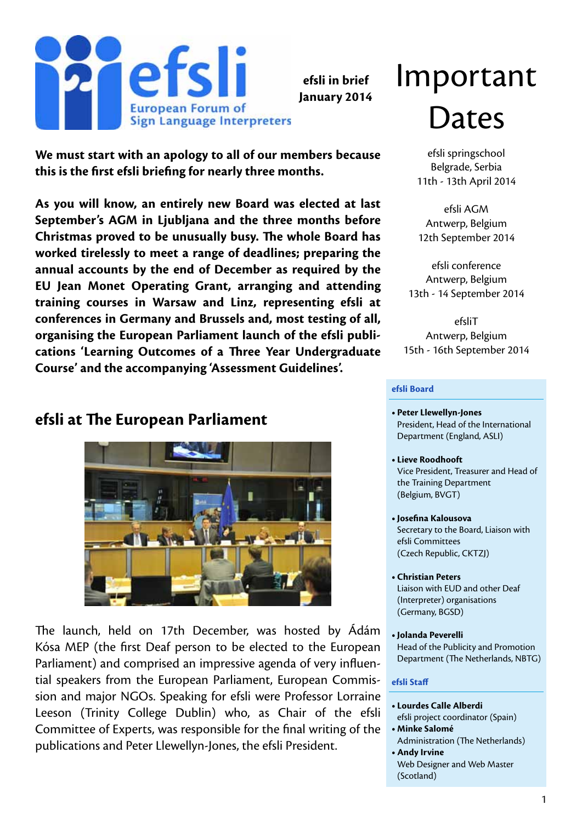

**efsli in brief January 2014**

#### **We must start with an apology to all of our members because this is the first efsli briefing for nearly three months.**

**As you will know, an entirely new Board was elected at last September's AGM in Ljubljana and the three months before Christmas proved to be unusually busy. The whole Board has worked tirelessly to meet a range of deadlines; preparing the annual accounts by the end of December as required by the EU Jean Monet Operating Grant, arranging and attending training courses in Warsaw and Linz, representing efsli at conferences in Germany and Brussels and, most testing of all, organising the European Parliament launch of the efsli publications 'Learning Outcomes of a Three Year Undergraduate Course' and the accompanying 'Assessment Guidelines'.**

#### **efsli at The European Parliament**



The launch, held on 17th December, was hosted by Ádám Kósa MEP (the first Deaf person to be elected to the European Parliament) and comprised an impressive agenda of very influential speakers from the European Parliament, European Commission and major NGOs. Speaking for efsli were Professor Lorraine Leeson (Trinity College Dublin) who, as Chair of the efsli Committee of Experts, was responsible for the final writing of the publications and Peter Llewellyn-Jones, the efsli President.

# Important Dates

efsli springschool Belgrade, Serbia 11th - 13th April 2014

efsli AGM Antwerp, Belgium 12th September 2014

efsli conference Antwerp, Belgium 13th - 14 September 2014

efsliT Antwerp, Belgium 15th - 16th September 2014

#### **efsli Board**

- **• Peter Llewellyn-Jones** President, Head of the International Department (England, ASLI)
- **• Lieve Roodhooft** Vice President, Treasurer and Head of the Training Department (Belgium, BVGT)
- **• Josefina Kalousova** Secretary to the Board, Liaison with efsli Committees (Czech Republic, CKTZJ)
- **• Christian Peters**  Liaison with EUD and other Deaf (Interpreter) organisations (Germany, BGSD)
- **• Jolanda Peverelli** Head of the Publicity and Promotion Department (The Netherlands, NBTG)

#### **efsli Staff**

- **• Lourdes Calle Alberdi**
- efsli project coordinator (Spain) **• Minke Salomé**
- Administration (The Netherlands) **• Andy Irvine**
- Web Designer and Web Master (Scotland)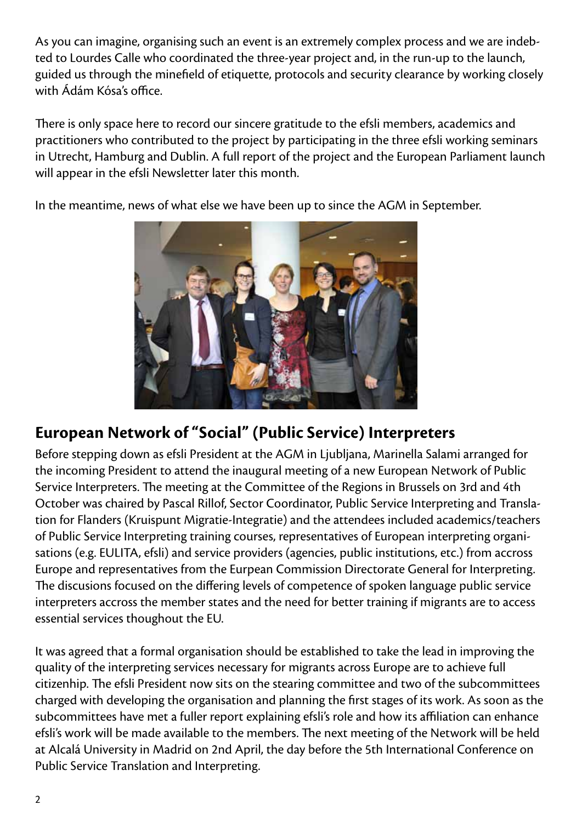As you can imagine, organising such an event is an extremely complex process and we are indebted to Lourdes Calle who coordinated the three-year project and, in the run-up to the launch, guided us through the minefield of etiquette, protocols and security clearance by working closely with Ádám Kósa's office.

There is only space here to record our sincere gratitude to the efsli members, academics and practitioners who contributed to the project by participating in the three efsli working seminars in Utrecht, Hamburg and Dublin. A full report of the project and the European Parliament launch will appear in the efsli Newsletter later this month.

In the meantime, news of what else we have been up to since the AGM in September.



#### **European Network of "Social" (Public Service) Interpreters**

Before stepping down as efsli President at the AGM in Ljubljana, Marinella Salami arranged for the incoming President to attend the inaugural meeting of a new European Network of Public Service Interpreters. The meeting at the Committee of the Regions in Brussels on 3rd and 4th October was chaired by Pascal Rillof, Sector Coordinator, Public Service Interpreting and Translation for Flanders (Kruispunt Migratie-Integratie) and the attendees included academics/teachers of Public Service Interpreting training courses, representatives of European interpreting organisations (e.g. EULITA, efsli) and service providers (agencies, public institutions, etc.) from accross Europe and representatives from the Eurpean Commission Directorate General for Interpreting. The discusions focused on the differing levels of competence of spoken language public service interpreters accross the member states and the need for better training if migrants are to access essential services thoughout the EU.

It was agreed that a formal organisation should be established to take the lead in improving the quality of the interpreting services necessary for migrants across Europe are to achieve full citizenhip. The efsli President now sits on the stearing committee and two of the subcommittees charged with developing the organisation and planning the first stages of its work. As soon as the subcommittees have met a fuller report explaining efsli's role and how its affiliation can enhance efsli's work will be made available to the members. The next meeting of the Network will be held at Alcalá University in Madrid on 2nd April, the day before the 5th International Conference on Public Service Translation and Interpreting.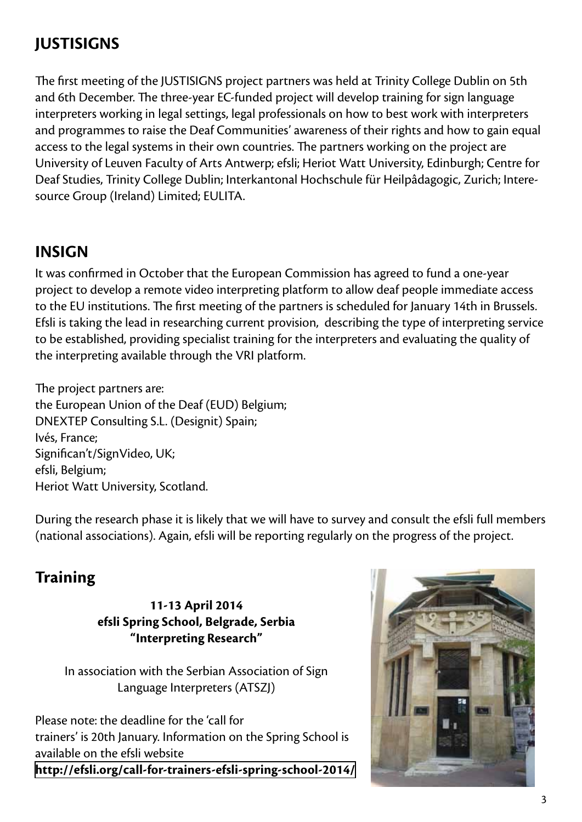## **JUSTISIGNS**

The first meeting of the JUSTISIGNS project partners was held at Trinity College Dublin on 5th and 6th December. The three-year EC-funded project will develop training for sign language interpreters working in legal settings, legal professionals on how to best work with interpreters and programmes to raise the Deaf Communities' awareness of their rights and how to gain equal access to the legal systems in their own countries. The partners working on the project are University of Leuven Faculty of Arts Antwerp; efsli; Heriot Watt University, Edinburgh; Centre for Deaf Studies, Trinity College Dublin; Interkantonal Hochschule für Heilpâdagogic, Zurich; Interesource Group (Ireland) Limited; EULITA.

#### **INSIGN**

It was confirmed in October that the European Commission has agreed to fund a one-year project to develop a remote video interpreting platform to allow deaf people immediate access to the EU institutions. The first meeting of the partners is scheduled for January 14th in Brussels. Efsli is taking the lead in researching current provision, describing the type of interpreting service to be established, providing specialist training for the interpreters and evaluating the quality of the interpreting available through the VRI platform.

The project partners are: the European Union of the Deaf (EUD) Belgium; DNEXTEP Consulting S.L. (Designit) Spain; Ivés, France; Significan't/SignVideo, UK; efsli, Belgium; Heriot Watt University, Scotland.

During the research phase it is likely that we will have to survey and consult the efsli full members (national associations). Again, efsli will be reporting regularly on the progress of the project.

#### **Training**

**11-13 April 2014 efsli Spring School, Belgrade, Serbia "Interpreting Research"**

In association with the Serbian Association of Sign Language Interpreters (ATSZJ)

Please note: the deadline for the 'call for trainers' is 20th January. Information on the Spring School is available on the efsli website **<http://efsli.org/call-for-trainers-efsli-spring-school-2014/>**